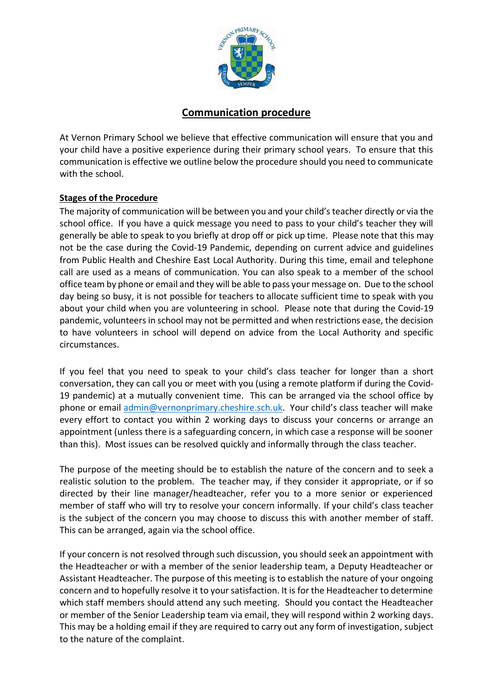

## **Communication procedure**

At Vernon Primary School we believe that effective communication will ensure that you and your child have a positive experience during their primary school years. To ensure that this communication is effective we outline below the procedure should you need to communicate with the school.

## **Stages of the Procedure**

The majority of communication will be between you and your child's teacher directly or via the school office. If you have a quick message you need to pass to your child's teacher they will generally be able to speak to you briefly at drop off or pick up time. Please note that this may not be the case during the Covid-19 Pandemic, depending on current advice and guidelines from Public Health and Cheshire East Local Authority. During this time, email and telephone call are used as a means of communication. You can also speak to a member of the school office team by phone or email and they will be able to pass your message on. Due to the school day being so busy, it is not possible for teachers to allocate sufficient time to speak with you about your child when you are volunteering in school. Please note that during the Covid-19 pandemic, volunteers in school may not be permitted and when restrictions ease, the decision to have volunteers in school will depend on advice from the Local Authority and specific circumstances.

If you feel that you need to speak to your child's class teacher for longer than a short conversation, they can call you or meet with you (using a remote platform if during the Covid-19 pandemic) at a mutually convenient time. This can be arranged via the school office by phone or email [admin@vernonprimary.cheshire.sch.uk](mailto:admin@vernonprimary.cheshire.sch.uk). Your child's class teacher will make every effort to contact you within 2 working days to discuss your concerns or arrange an appointment (unless there is a safeguarding concern, in which case a response will be sooner than this). Most issues can be resolved quickly and informally through the class teacher.

The purpose of the meeting should be to establish the nature of the concern and to seek a realistic solution to the problem. The teacher may, if they consider it appropriate, or if so directed by their line manager/headteacher, refer you to a more senior or experienced member of staff who will try to resolve your concern informally. If your child's class teacher is the subject of the concern you may choose to discuss this with another member of staff. This can be arranged, again via the school office.

If your concern is not resolved through such discussion, you should seek an appointment with the Headteacher or with a member of the senior leadership team, a Deputy Headteacher or Assistant Headteacher. The purpose of this meeting is to establish the nature of your ongoing concern and to hopefully resolve it to your satisfaction. It is for the Headteacher to determine which staff members should attend any such meeting. Should you contact the Headteacher or member of the Senior Leadership team via email, they will respond within 2 working days. This may be a holding email if they are required to carry out any form of investigation, subject to the nature of the complaint.